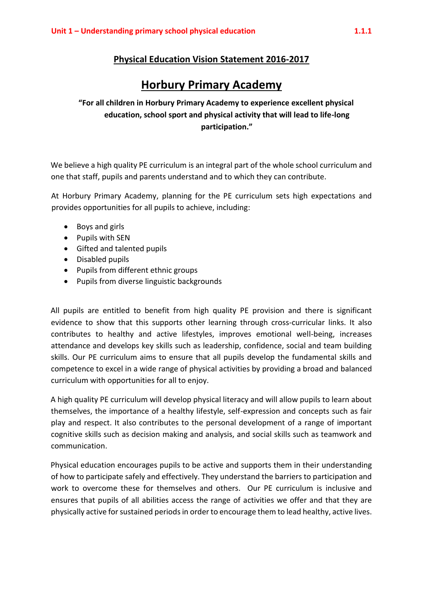## **Physical Education Vision Statement 2016-2017**

## **Horbury Primary Academy**

**"For all children in Horbury Primary Academy to experience excellent physical education, school sport and physical activity that will lead to life-long participation."**

We believe a high quality PE curriculum is an integral part of the whole school curriculum and one that staff, pupils and parents understand and to which they can contribute.

At Horbury Primary Academy, planning for the PE curriculum sets high expectations and provides opportunities for all pupils to achieve, including:

- Boys and girls
- Pupils with SEN
- Gifted and talented pupils
- Disabled pupils
- Pupils from different ethnic groups
- Pupils from diverse linguistic backgrounds

All pupils are entitled to benefit from high quality PE provision and there is significant evidence to show that this supports other learning through cross-curricular links. It also contributes to healthy and active lifestyles, improves emotional well-being, increases attendance and develops key skills such as leadership, confidence, social and team building skills. Our PE curriculum aims to ensure that all pupils develop the fundamental skills and competence to excel in a wide range of physical activities by providing a broad and balanced curriculum with opportunities for all to enjoy.

A high quality PE curriculum will develop physical literacy and will allow pupils to learn about themselves, the importance of a healthy lifestyle, self-expression and concepts such as fair play and respect. It also contributes to the personal development of a range of important cognitive skills such as decision making and analysis, and social skills such as teamwork and communication.

Physical education encourages pupils to be active and supports them in their understanding of how to participate safely and effectively. They understand the barriers to participation and work to overcome these for themselves and others. Our PE curriculum is inclusive and ensures that pupils of all abilities access the range of activities we offer and that they are physically active for sustained periodsin order to encourage them to lead healthy, active lives.